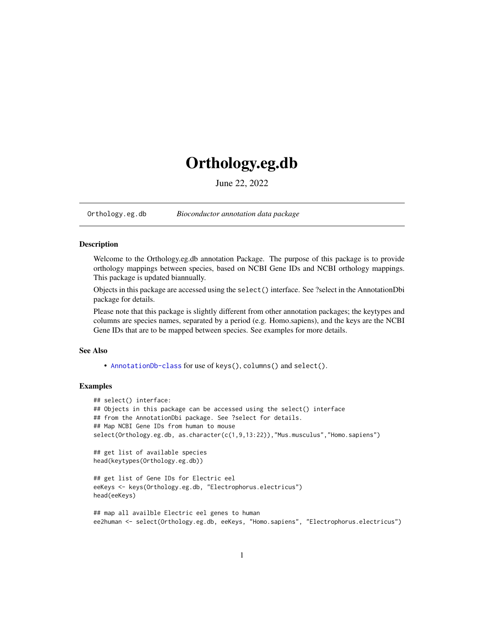# <span id="page-0-1"></span>Orthology.eg.db

June 22, 2022

<span id="page-0-0"></span>Orthology.eg.db *Bioconductor annotation data package*

# Description

Welcome to the Orthology.eg.db annotation Package. The purpose of this package is to provide orthology mappings between species, based on NCBI Gene IDs and NCBI orthology mappings. This package is updated biannually.

Objects in this package are accessed using the select() interface. See ?select in the AnnotationDbi package for details.

Please note that this package is slightly different from other annotation packages; the keytypes and columns are species names, separated by a period (e.g. Homo.sapiens), and the keys are the NCBI Gene IDs that are to be mapped between species. See examples for more details.

#### See Also

• AnnotationDb-class for use of keys(), columns() and select().

# Examples

```
## select() interface:
## Objects in this package can be accessed using the select() interface
## from the AnnotationDbi package. See ?select for details.
## Map NCBI Gene IDs from human to mouse
select(Orthology.eg.db, as.character(c(1,9,13:22)),"Mus.musculus","Homo.sapiens")
```

```
## get list of available species
head(keytypes(Orthology.eg.db))
```

```
## get list of Gene IDs for Electric eel
eeKeys <- keys(Orthology.eg.db, "Electrophorus.electricus")
head(eeKeys)
```

```
## map all availble Electric eel genes to human
ee2human <- select(Orthology.eg.db, eeKeys, "Homo.sapiens", "Electrophorus.electricus")
```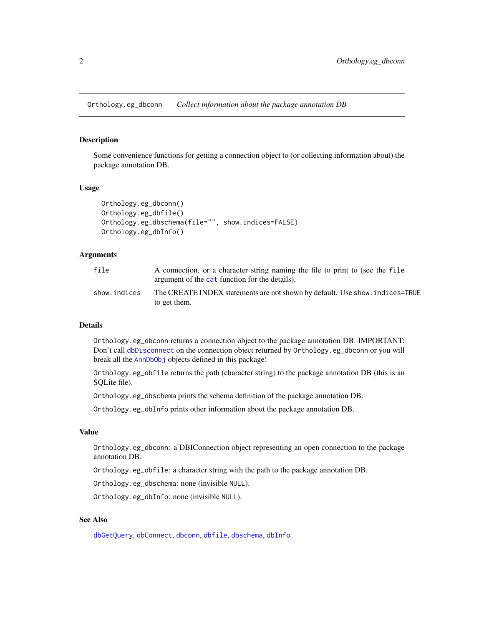<span id="page-1-0"></span>Orthology.eg\_dbconn *Collect information about the package annotation DB*

# Description

Some convenience functions for getting a connection object to (or collecting information about) the package annotation DB.

#### Usage

```
Orthology.eg_dbconn()
Orthology.eg_dbfile()
Orthology.eg_dbschema(file="", show.indices=FALSE)
Orthology.eg_dbInfo()
```
# Arguments

| file         | A connection, or a character string naming the file to print to (see the file<br>argument of the cat function for the details). |
|--------------|---------------------------------------------------------------------------------------------------------------------------------|
| show.indices | The CREATE INDEX statements are not shown by default. Use show, indices=TRUE<br>to get them.                                    |

# Details

Orthology.eg\_dbconn returns a connection object to the package annotation DB. IMPORTANT: Don't call [dbDisconnect](#page-0-0) on the connection object returned by Orthology.eg\_dbconn or you will break all the [AnnDbObj](#page-0-0) objects defined in this package!

Orthology.eg\_dbfile returns the path (character string) to the package annotation DB (this is an SQLite file).

Orthology.eg\_dbschema prints the schema definition of the package annotation DB.

Orthology.eg\_dbInfo prints other information about the package annotation DB.

### Value

Orthology.eg\_dbconn: a DBIConnection object representing an open connection to the package annotation DB.

Orthology.eg\_dbfile: a character string with the path to the package annotation DB.

Orthology.eg\_dbschema: none (invisible NULL).

Orthology.eg\_dbInfo: none (invisible NULL).

# See Also

[dbGetQuery](#page-0-0), [dbConnect](#page-0-0), [dbconn](#page-0-0), [dbfile](#page-0-0), [dbschema](#page-0-0), [dbInfo](#page-0-0)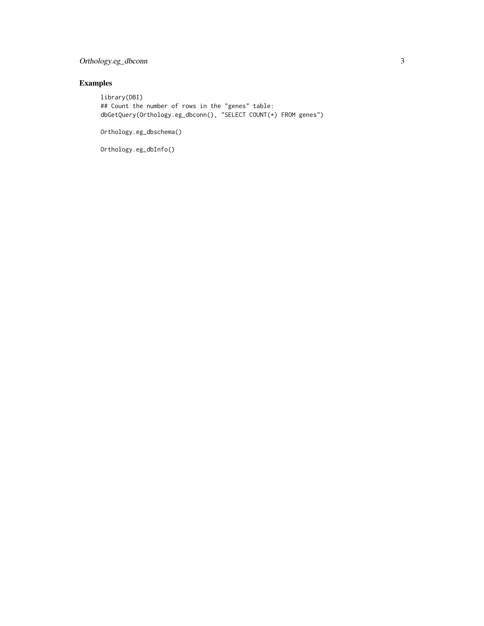# Orthology.eg\_dbconn 3

# Examples

library(DBI) ## Count the number of rows in the "genes" table: dbGetQuery(Orthology.eg\_dbconn(), "SELECT COUNT(\*) FROM genes")

Orthology.eg\_dbschema()

Orthology.eg\_dbInfo()